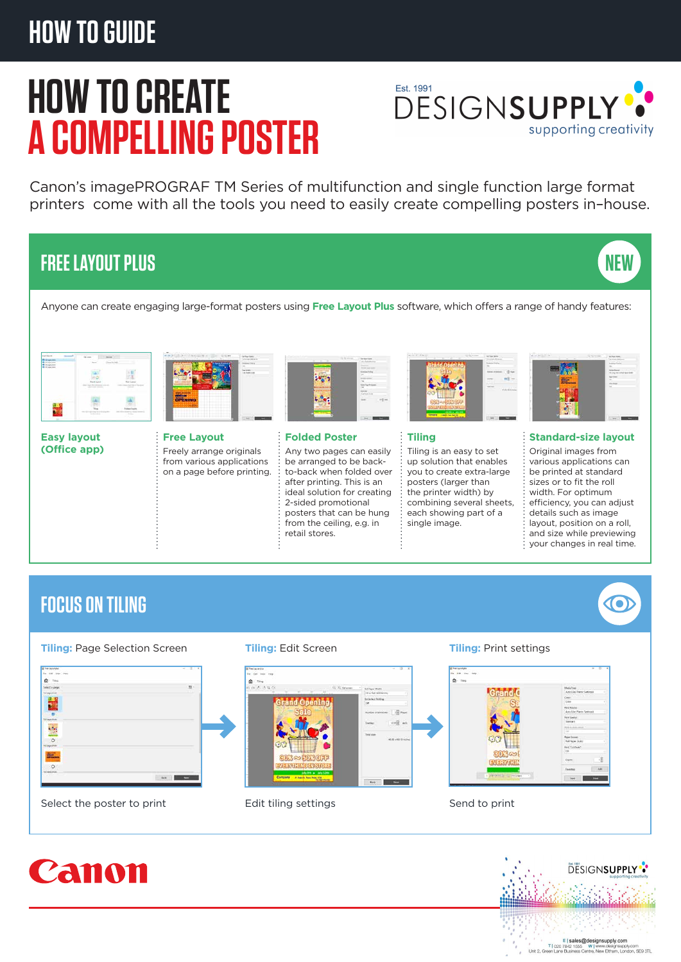# **HOW TO GUIDE**

# **HOW TO CREATE A COMPELLING POSTER**



Canon's imagePROGRAF TM Series of multifunction and single function large format printers come with all the tools you need to easily create compelling posters in–house.

## **FREE LAYOUT PLUS**





**Easy layout (Office app)**



**Free Layout**  Freely arrange originals from various applications on a page before printing.



## **Folded Poster**

Any two pages can easily be arranged to be backto-back when folded over after printing. This is an ideal solution for creating 2-sided promotional posters that can be hung from the ceiling, e.g. in retail stores.



### **Tiling**

Tiling is an easy to set up solution that enables you to create extra-large posters (larger than the printer width) by combining several sheets, each showing part of a single image.



**NEW**

## **Standard-size layout**

Original images from various applications can be printed at standard sizes or to fit the roll width. For optimum efficiency, you can adjust details such as image layout, position on a roll, and size while previewing  $\frac{1}{2}$  your changes in real time.

## **FOCUS ON TILING**

## **Tiling:** Page Selection Screen **Tiling:** Edit Screen **Tiling:** Print settings



Select the poster to print Edit tiling settings Send to print Send to print